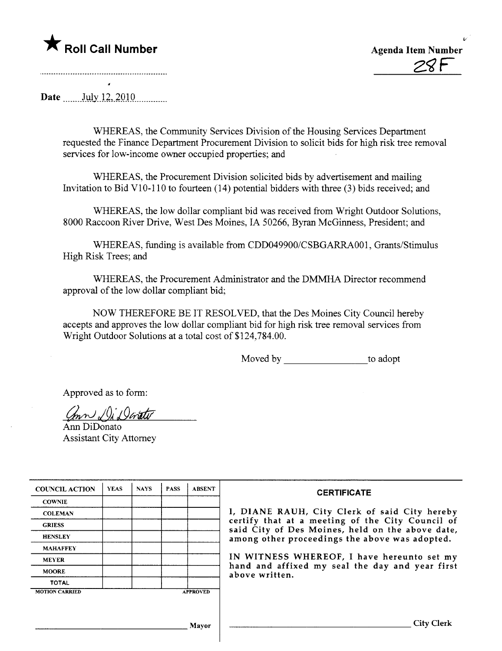## $\blacktriangledown$  Roll Call Number



~

Date .......July 12, 2010

WHEREAS, the Community Services Division of the Housing Services Department requested the Finance Department Procurement Division to solicit bids for high risk tree removal services for low-income owner occupied properties; and

WHEREAS, the Procurement Division solicited bids by advertisement and mailing Invitation to Bid V10-110 to fourteen  $(14)$  potential bidders with three  $(3)$  bids received; and

WHEREAS, the low dollar compliant bid was received from Wright Outdoor Solutions, 8000 Raccoon River Drive, West Des Moines, IA 50266, Byran McGinness, President; and

WHEREAS, funding is available from CDD049900/CSBGARRA001, Grants/Stimulus High Risk Trees; and

WHEREAS, the Procurement Administrator and the DMMHA Director recommend approval of the low dollar compliant bid;

NOW THEREFORE BE IT RESOLVED, that the Des Moines City Council hereby accepts and approves the low dollar compliant bid for high risk tree removal services from Wright Outdoor Solutions at a total cost of \$124,784.00.

Moved by to adopt

Approved as to form:

 $Chn \cup$   $\cup$  is  $Q$  contact

Ann DiDonato **Assistant City Attorney** 

| <b>COUNCIL ACTION</b> | <b>YEAS</b> | <b>NAYS</b> | <b>PASS</b> | <b>ABSENT</b>   | <b>CERTIFICATE</b>                                                                                   |
|-----------------------|-------------|-------------|-------------|-----------------|------------------------------------------------------------------------------------------------------|
| <b>COWNIE</b>         |             |             |             |                 |                                                                                                      |
| <b>COLEMAN</b>        |             |             |             |                 | I, DIANE RAUH, City Clerk of said City hereby                                                        |
| <b>GRIESS</b>         |             |             |             |                 | certify that at a meeting of the City Council of<br>said City of Des Moines, held on the above date, |
| <b>HENSLEY</b>        |             |             |             |                 | among other proceedings the above was adopted.                                                       |
| <b>MAHAFFEY</b>       |             |             |             |                 |                                                                                                      |
| <b>MEYER</b>          |             |             |             |                 | IN WITNESS WHEREOF, I have hereunto set my                                                           |
| <b>MOORE</b>          |             |             |             |                 | hand and affixed my seal the day and year first<br>above written.                                    |
| <b>TOTAL</b>          |             |             |             |                 |                                                                                                      |
| <b>MOTION CARRIED</b> |             |             |             | <b>APPROVED</b> |                                                                                                      |
|                       |             |             |             |                 |                                                                                                      |
|                       |             |             |             | Mavor           | City (                                                                                               |